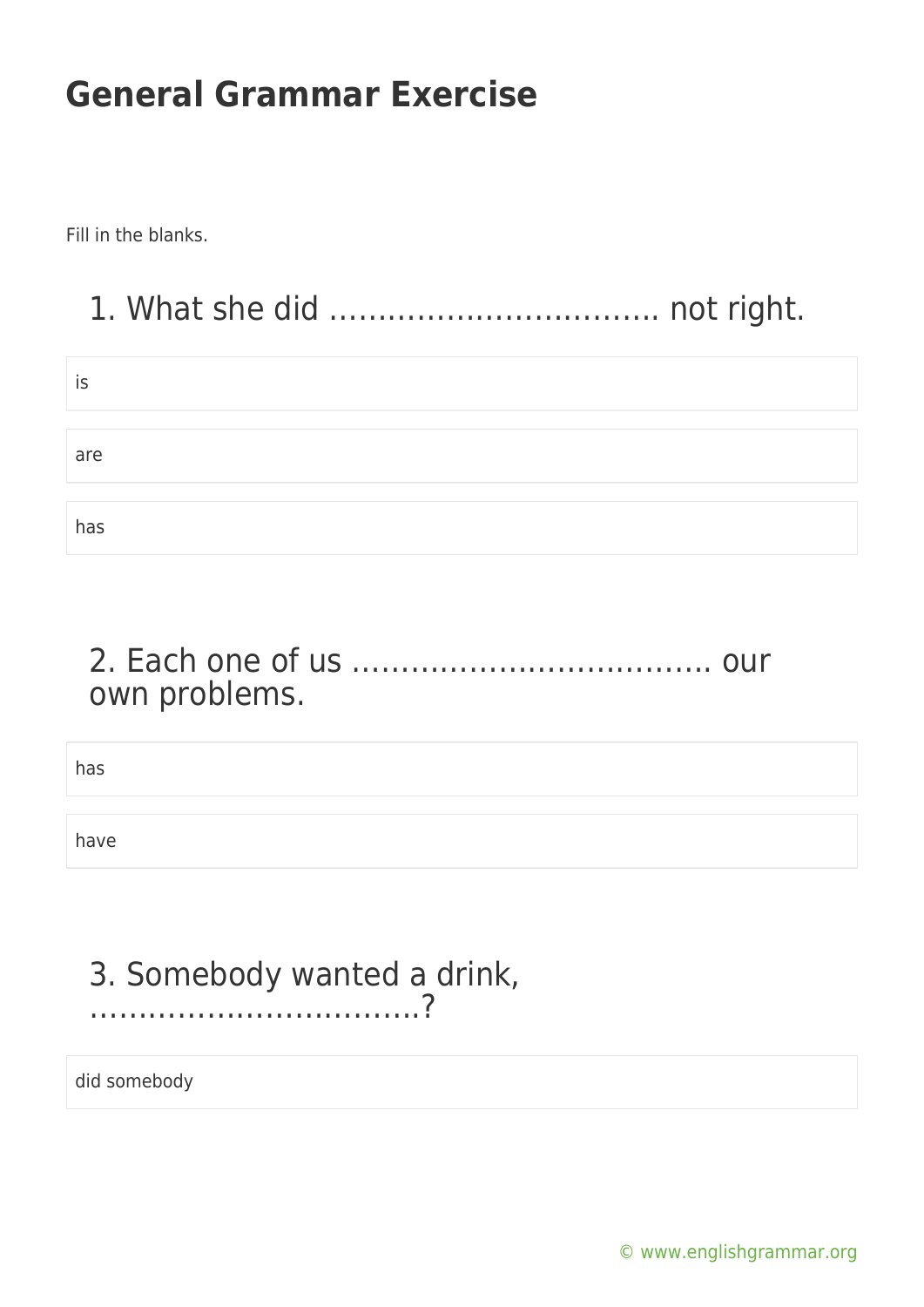Fill in the blanks.

### 1. What she did ……………………………. not right.

| İS  |  |  |
|-----|--|--|
|     |  |  |
| are |  |  |
|     |  |  |
| has |  |  |

#### 2. Each one of us ………………………………. our own problems.

has

have

### 3. Somebody wanted a drink, …………………………….?

did somebody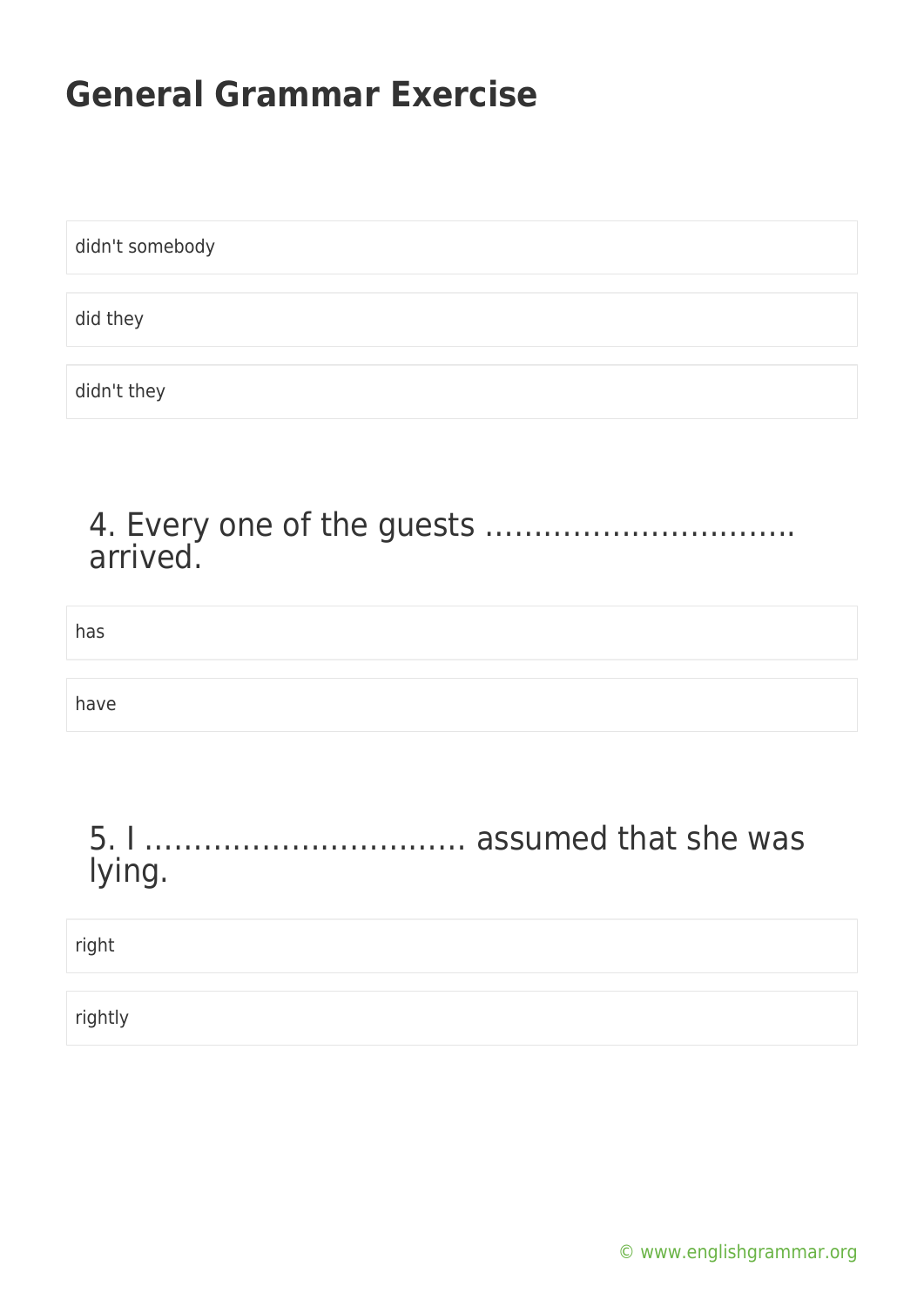didn't somebody did they didn't they

# 4. Every one of the guests ………………………….. arrived.

| has    |  |
|--------|--|
| have   |  |
| lying. |  |
|        |  |

rightly

right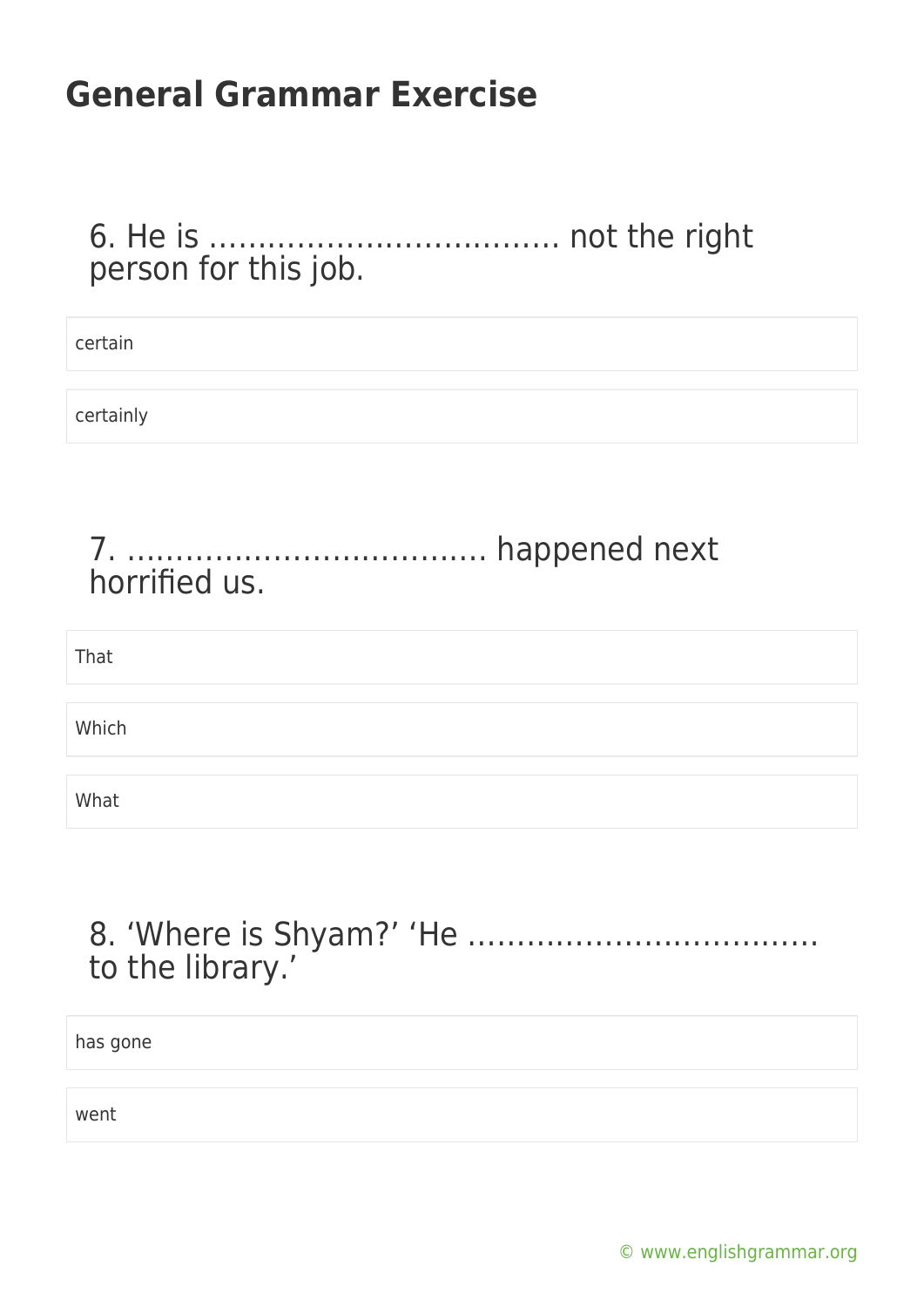#### 6. He is ……………………………… not the right person for this job.

| certain   |
|-----------|
| certainly |
|           |
| That      |
| Which     |
| What      |

#### 8. 'Where is Shyam?' 'He ……………………………… to the library.'

has gone

went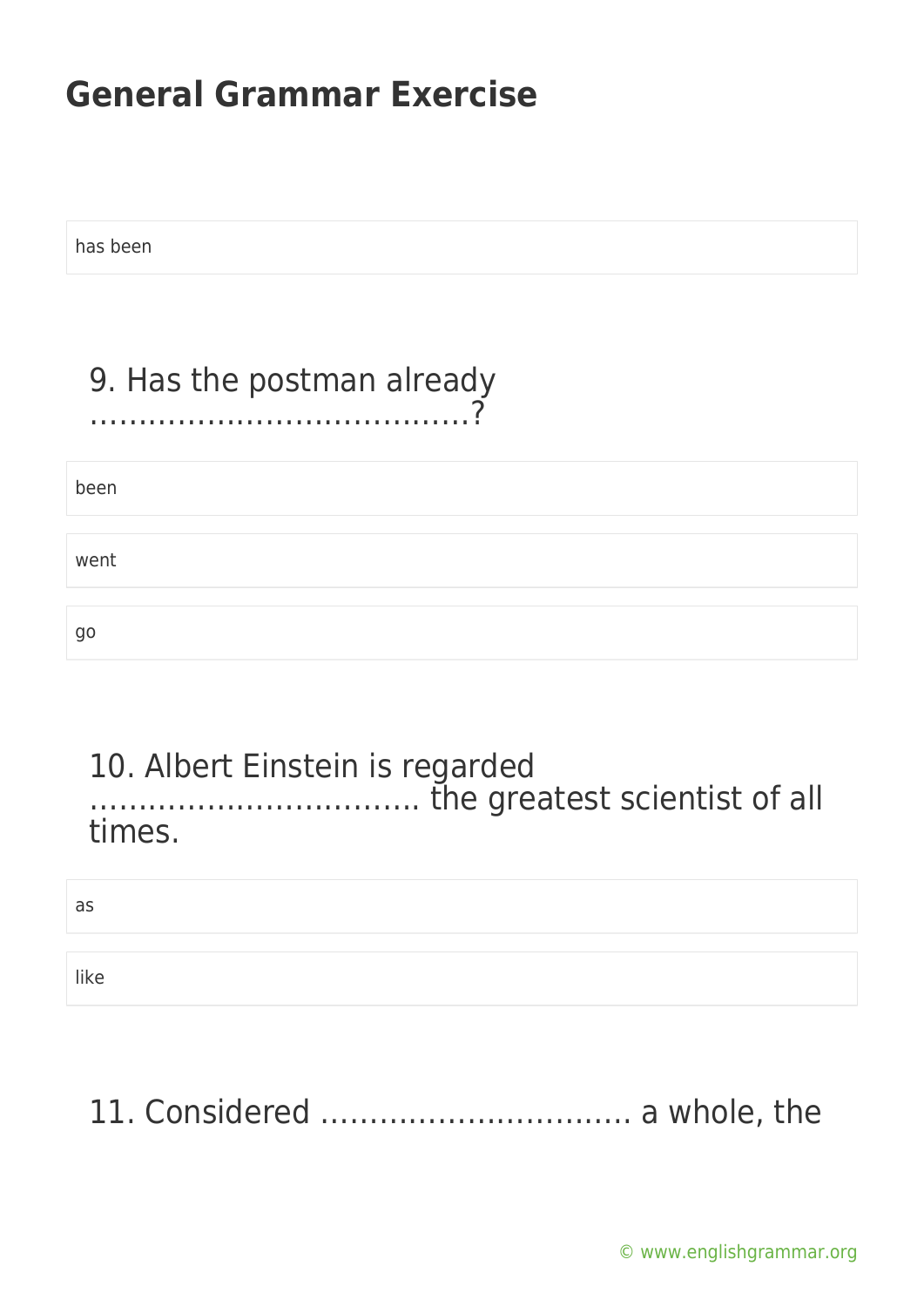has been

#### 9. Has the postman already …………………………………?

| been |  |  |
|------|--|--|
| went |  |  |
| go   |  |  |

#### 10. Albert Einstein is regarded ……………………………. the greatest scientist of all times.

as

like

# 11. Considered ………………………….. a whole, the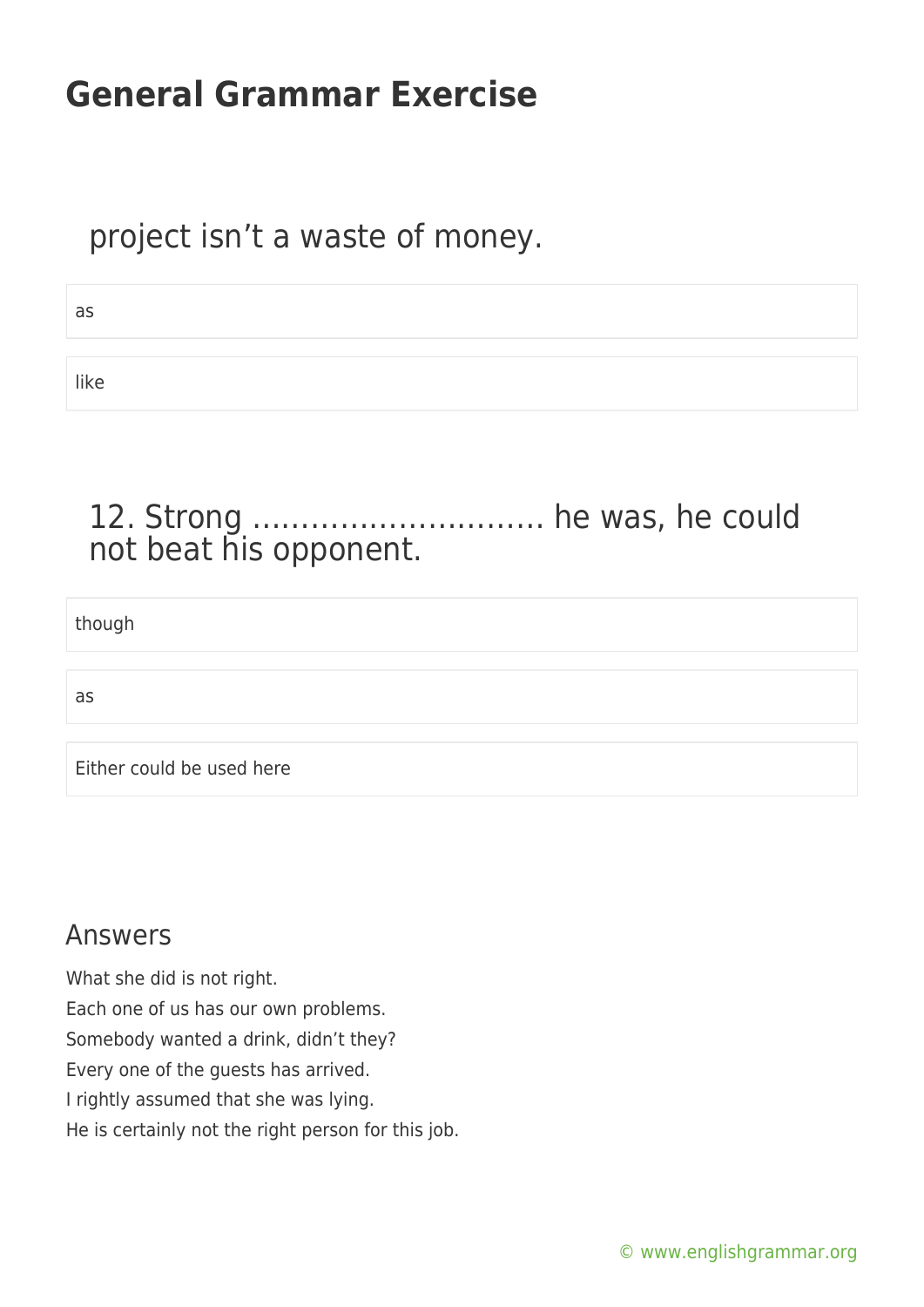#### project isn't a waste of money.

| . .                            |
|--------------------------------|
| <b>STATE</b><br>۰.<br>v<br>. . |
|                                |

like

### 12. Strong ………………………… he was, he could not beat his opponent.

though

as

Either could be used here

#### Answers

What she did is not right. Each one of us has our own problems. Somebody wanted a drink, didn't they? Every one of the guests has arrived. I rightly assumed that she was lying. He is certainly not the right person for this job.